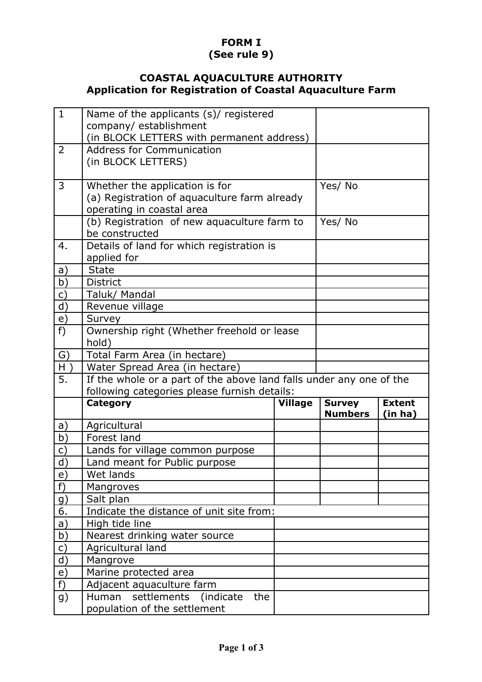## **FORM I (See rule 9)**

## **COASTAL AQUACULTURE AUTHORITY Application for Registration of Coastal Aquaculture Farm**

| $\mathbf{1}$   | Name of the applicants (s)/ registered                              |                |                                 |                          |
|----------------|---------------------------------------------------------------------|----------------|---------------------------------|--------------------------|
|                | company/establishment                                               |                |                                 |                          |
|                | (in BLOCK LETTERS with permanent address)                           |                |                                 |                          |
| 2              | <b>Address for Communication</b>                                    |                |                                 |                          |
|                | (in BLOCK LETTERS)                                                  |                |                                 |                          |
| 3              | Whether the application is for                                      |                | Yes/No                          |                          |
|                | (a) Registration of aquaculture farm already                        |                |                                 |                          |
|                | operating in coastal area                                           |                |                                 |                          |
|                | (b) Registration of new aquaculture farm to                         | Yes/No         |                                 |                          |
|                | be constructed                                                      |                |                                 |                          |
| 4.             | Details of land for which registration is                           |                |                                 |                          |
|                | applied for                                                         |                |                                 |                          |
| a)             | <b>State</b>                                                        |                |                                 |                          |
| b)             | <b>District</b>                                                     |                |                                 |                          |
| $\mathsf{C}$   | Taluk/ Mandal                                                       |                |                                 |                          |
| d)             | Revenue village                                                     |                |                                 |                          |
| e)             | Survey                                                              |                |                                 |                          |
| $f$ )          | Ownership right (Whether freehold or lease                          |                |                                 |                          |
|                | hold)                                                               |                |                                 |                          |
| G)             | Total Farm Area (in hectare)                                        |                |                                 |                          |
| $H$ )          | Water Spread Area (in hectare)                                      |                |                                 |                          |
| 5.             | If the whole or a part of the above land falls under any one of the |                |                                 |                          |
|                | following categories please furnish details:                        |                |                                 |                          |
|                | <b>Category</b>                                                     | <b>Village</b> | <b>Survey</b><br><b>Numbers</b> | <b>Extent</b><br>(in ha) |
| a)             | Agricultural                                                        |                |                                 |                          |
| b)             | Forest land                                                         |                |                                 |                          |
| $\mathsf{C}$   | Lands for village common purpose                                    |                |                                 |                          |
| d)             | Land meant for Public purpose                                       |                |                                 |                          |
| e)             | Wet lands                                                           |                |                                 |                          |
| $f$ )          | Mangroves                                                           |                |                                 |                          |
| <u>g)</u>      | Salt plan                                                           |                |                                 |                          |
| 6.             | Indicate the distance of unit site from:                            |                |                                 |                          |
| a)             | High tide line                                                      |                |                                 |                          |
| b)             | Nearest drinking water source                                       |                |                                 |                          |
| $\mathsf{C}$   | Agricultural land                                                   |                |                                 |                          |
| d)             | Mangrove                                                            |                |                                 |                          |
| $\overline{e}$ | Marine protected area                                               |                |                                 |                          |
| $f$ )          | Adjacent aquaculture farm                                           |                |                                 |                          |
| g)             | settlements (indicate<br>Human<br>the                               |                |                                 |                          |
|                | population of the settlement                                        |                |                                 |                          |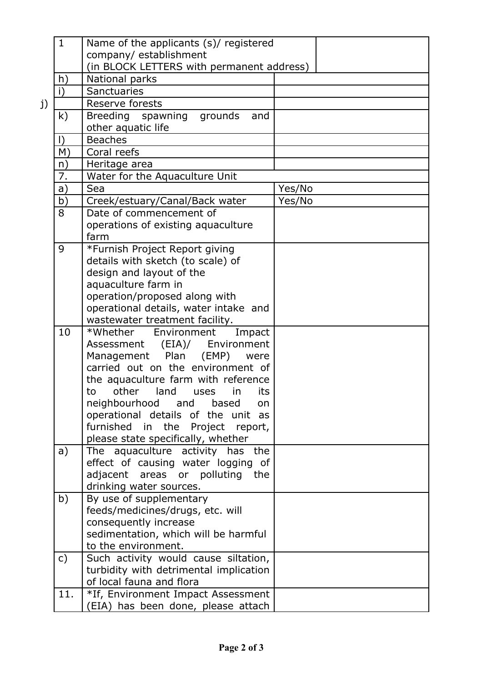|    | $\mathbf{1}$ | Name of the applicants (s)/ registered                    |        |
|----|--------------|-----------------------------------------------------------|--------|
|    |              | company/establishment                                     |        |
|    |              | (in BLOCK LETTERS with permanent address)                 |        |
|    | h)           | National parks                                            |        |
|    | i)           | Sanctuaries                                               |        |
| j) |              | Reserve forests                                           |        |
|    | k)           | Breeding spawning<br>grounds<br>and                       |        |
|    |              | other aquatic life                                        |        |
|    | $\vert$      | <b>Beaches</b>                                            |        |
|    | M)           | Coral reefs                                               |        |
|    | n)           | Heritage area                                             |        |
|    | 7.           | Water for the Aquaculture Unit                            |        |
|    | a)           | Sea                                                       | Yes/No |
|    | b)           | Creek/estuary/Canal/Back water                            | Yes/No |
|    | 8            | Date of commencement of                                   |        |
|    |              | operations of existing aquaculture                        |        |
|    |              | farm                                                      |        |
|    | 9            | *Furnish Project Report giving                            |        |
|    |              | details with sketch (to scale) of                         |        |
|    |              | design and layout of the                                  |        |
|    |              | aquaculture farm in                                       |        |
|    |              | operation/proposed along with                             |        |
|    |              | operational details, water intake and                     |        |
|    |              | wastewater treatment facility.                            |        |
|    | 10           | $*$ Whether<br>Environment<br>Impact                      |        |
|    |              | Assessment (EIA)/<br>Environment                          |        |
|    |              | Management Plan<br>(EMP)<br>were                          |        |
|    |              | carried out on the environment of                         |        |
|    |              | the aquaculture farm with reference                       |        |
|    |              | other<br>land<br>its<br>in<br>to<br>uses                  |        |
|    |              | neighbourhood<br>and<br>based<br>on                       |        |
|    |              | operational details of the unit as                        |        |
|    |              | furnished in<br>Project report,<br>the                    |        |
|    |              | please state specifically, whether                        |        |
|    | a)           | The aquaculture activity has the                          |        |
|    |              | effect of causing water logging of                        |        |
|    |              | adjacent areas or polluting<br>the                        |        |
|    |              | drinking water sources.<br>By use of supplementary        |        |
|    | b)           |                                                           |        |
|    |              | feeds/medicines/drugs, etc. will<br>consequently increase |        |
|    |              | sedimentation, which will be harmful                      |        |
|    |              | to the environment.                                       |        |
|    | $\mathsf{C}$ | Such activity would cause siltation,                      |        |
|    |              | turbidity with detrimental implication                    |        |
|    |              | of local fauna and flora                                  |        |
|    | 11.          | *If, Environment Impact Assessment                        |        |
|    |              | (EIA) has been done, please attach                        |        |
|    |              |                                                           |        |